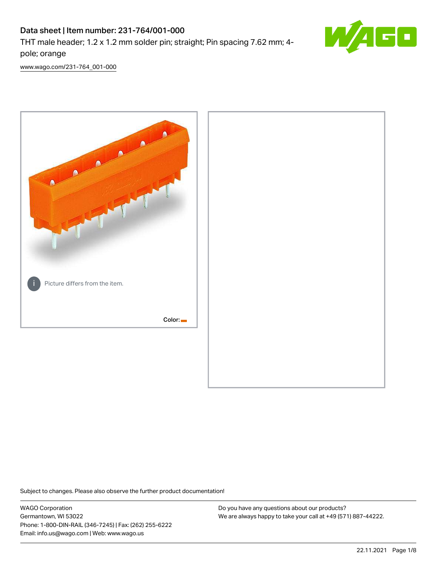# Data sheet | Item number: 231-764/001-000

THT male header; 1.2 x 1.2 mm solder pin; straight; Pin spacing 7.62 mm; 4 pole; orange



[www.wago.com/231-764\\_001-000](http://www.wago.com/231-764_001-000)



Subject to changes. Please also observe the further product documentation!

WAGO Corporation Germantown, WI 53022 Phone: 1-800-DIN-RAIL (346-7245) | Fax: (262) 255-6222 Email: info.us@wago.com | Web: www.wago.us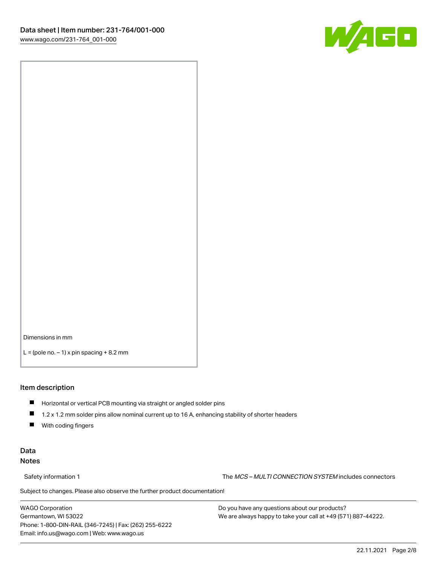

Dimensions in mm

 $L =$  (pole no.  $-1$ ) x pin spacing  $+8.2$  mm

#### Item description

- **Horizontal or vertical PCB mounting via straight or angled solder pins**
- 1.2 x 1.2 mm solder pins allow nominal current up to 16 A, enhancing stability of shorter headers
- $\blacksquare$ With coding fingers

#### Data Notes

Safety information 1 The MCS – MULTI CONNECTION SYSTEM includes connectors

Subject to changes. Please also observe the further product documentation!  $\nu$ 

WAGO Corporation Germantown, WI 53022 Phone: 1-800-DIN-RAIL (346-7245) | Fax: (262) 255-6222 Email: info.us@wago.com | Web: www.wago.us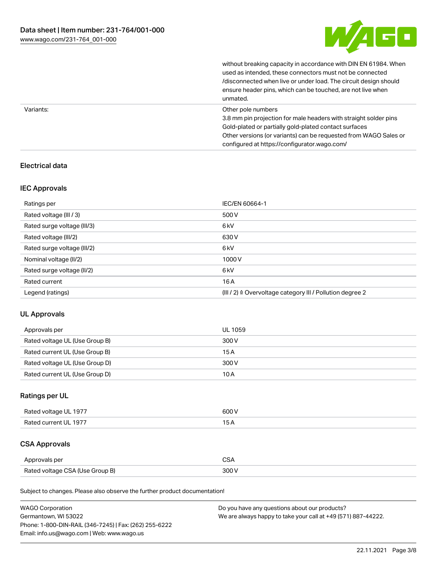

without breaking capacity in accordance with DIN EN 61984. When

|           | used as intended, these connectors must not be connected<br>/disconnected when live or under load. The circuit design should<br>ensure header pins, which can be touched, are not live when<br>unmated.                                                             |
|-----------|---------------------------------------------------------------------------------------------------------------------------------------------------------------------------------------------------------------------------------------------------------------------|
| Variants: | Other pole numbers<br>3.8 mm pin projection for male headers with straight solder pins<br>Gold-plated or partially gold-plated contact surfaces<br>Other versions (or variants) can be requested from WAGO Sales or<br>configured at https://configurator.wago.com/ |

## Electrical data

#### IEC Approvals

| Ratings per                 | IEC/EN 60664-1                                                        |
|-----------------------------|-----------------------------------------------------------------------|
| Rated voltage (III / 3)     | 500 V                                                                 |
| Rated surge voltage (III/3) | 6kV                                                                   |
| Rated voltage (III/2)       | 630 V                                                                 |
| Rated surge voltage (III/2) | 6 <sub>kV</sub>                                                       |
| Nominal voltage (II/2)      | 1000V                                                                 |
| Rated surge voltage (II/2)  | 6 <sub>kV</sub>                                                       |
| Rated current               | 16A                                                                   |
| Legend (ratings)            | $(III / 2)$ $\triangle$ Overvoltage category III / Pollution degree 2 |

#### UL Approvals

| Approvals per                  | UL 1059 |
|--------------------------------|---------|
| Rated voltage UL (Use Group B) | 300 V   |
| Rated current UL (Use Group B) | 15 A    |
| Rated voltage UL (Use Group D) | 300 V   |
| Rated current UL (Use Group D) | 10 A    |

# Ratings per UL

| Rated voltage UL 1977 | 600 V |
|-----------------------|-------|
| Rated current UL 1977 |       |

# CSA Approvals

| Approvals per                   | ~~    |
|---------------------------------|-------|
| Rated voltage CSA (Use Group B) | 3UU 1 |

Subject to changes. Please also observe the further product documentation!

| <b>WAGO Corporation</b>                                | Do you have any questions about our products?                 |
|--------------------------------------------------------|---------------------------------------------------------------|
| Germantown, WI 53022                                   | We are always happy to take your call at +49 (571) 887-44222. |
| Phone: 1-800-DIN-RAIL (346-7245)   Fax: (262) 255-6222 |                                                               |
| Email: info.us@wago.com   Web: www.wago.us             |                                                               |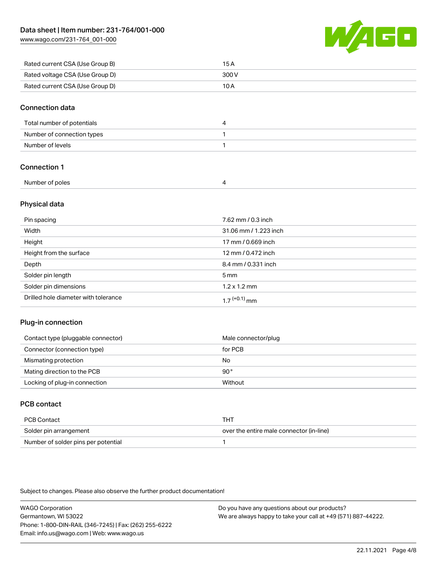[www.wago.com/231-764\\_001-000](http://www.wago.com/231-764_001-000)



| Rated current CSA (Use Group B) | 15 A  |
|---------------------------------|-------|
| Rated voltage CSA (Use Group D) | 300 V |
| Rated current CSA (Use Group D) | 10 A  |

#### Connection data

| Total number of potentials |  |
|----------------------------|--|
| Number of connection types |  |
| Number of levels           |  |

## Connection 1

| Number of poles |  |
|-----------------|--|

#### Physical data

| Pin spacing                          | 7.62 mm / 0.3 inch    |
|--------------------------------------|-----------------------|
| Width                                | 31.06 mm / 1.223 inch |
| Height                               | 17 mm / 0.669 inch    |
| Height from the surface              | 12 mm / 0.472 inch    |
| Depth                                | 8.4 mm / 0.331 inch   |
| Solder pin length                    | $5 \,\mathrm{mm}$     |
| Solder pin dimensions                | $1.2 \times 1.2$ mm   |
| Drilled hole diameter with tolerance | $17^{(+0.1)}$ mm      |

#### Plug-in connection

| Contact type (pluggable connector) | Male connector/plug |
|------------------------------------|---------------------|
| Connector (connection type)        | for PCB             |
| Mismating protection               | No                  |
| Mating direction to the PCB        | 90°                 |
| Locking of plug-in connection      | Without             |

# PCB contact

| PCB Contact                         | тнт                                      |
|-------------------------------------|------------------------------------------|
| Solder pin arrangement              | over the entire male connector (in-line) |
| Number of solder pins per potential |                                          |

Subject to changes. Please also observe the further product documentation!

WAGO Corporation Germantown, WI 53022 Phone: 1-800-DIN-RAIL (346-7245) | Fax: (262) 255-6222 Email: info.us@wago.com | Web: www.wago.us Do you have any questions about our products? We are always happy to take your call at +49 (571) 887-44222.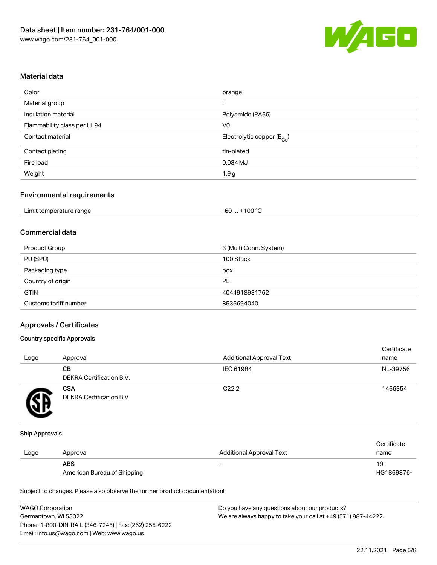

#### Material data

| Color                       | orange                                 |
|-----------------------------|----------------------------------------|
| Material group              |                                        |
| Insulation material         | Polyamide (PA66)                       |
| Flammability class per UL94 | V <sub>0</sub>                         |
| Contact material            | Electrolytic copper (E <sub>Cu</sub> ) |
| Contact plating             | tin-plated                             |
| Fire load                   | 0.034 MJ                               |
| Weight                      | 1.9g                                   |

#### Environmental requirements

| Limit temperature range | $+100 °C$<br>-60 |
|-------------------------|------------------|
|-------------------------|------------------|

# Commercial data

| Product Group         | 3 (Multi Conn. System) |
|-----------------------|------------------------|
| PU (SPU)              | 100 Stück              |
| Packaging type        | box                    |
| Country of origin     | PL                     |
| <b>GTIN</b>           | 4044918931762          |
| Customs tariff number | 8536694040             |

#### Approvals / Certificates

#### Country specific Approvals

| Logo | Approval                               | <b>Additional Approval Text</b> | Certificate<br>name |
|------|----------------------------------------|---------------------------------|---------------------|
|      | CВ<br><b>DEKRA Certification B.V.</b>  | IEC 61984                       | NL-39756            |
|      | <b>CSA</b><br>DEKRA Certification B.V. | C <sub>22.2</sub>               | 1466354             |

#### Ship Approvals

|      |                             |                          | Certificate |
|------|-----------------------------|--------------------------|-------------|
| Logo | Approval                    | Additional Approval Text | name        |
|      | <b>ABS</b>                  |                          | 19-         |
|      | American Bureau of Shipping |                          | HG1869876-  |

Subject to changes. Please also observe the further product documentation!

| <b>WAGO Corporation</b>                                | Do you have any questions about our products?                 |
|--------------------------------------------------------|---------------------------------------------------------------|
| Germantown, WI 53022                                   | We are always happy to take your call at +49 (571) 887-44222. |
| Phone: 1-800-DIN-RAIL (346-7245)   Fax: (262) 255-6222 |                                                               |
| Email: info.us@wago.com   Web: www.wago.us             |                                                               |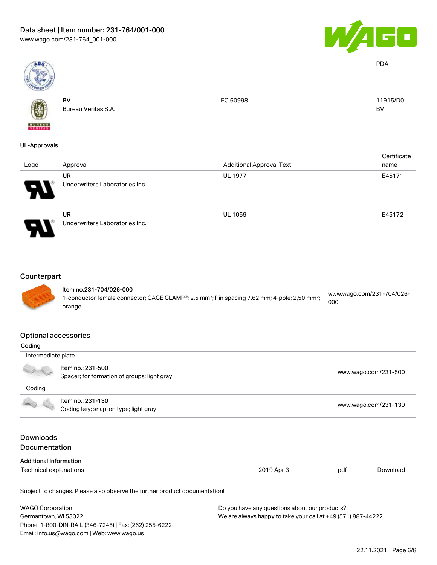

PDA

BV



Bureau Veritas S.A.

BV

IEC 60998 11915/D0

# UL-Approvals

| Logo                  | Approval                                    | <b>Additional Approval Text</b> | Certificate<br>name |
|-----------------------|---------------------------------------------|---------------------------------|---------------------|
| $\boldsymbol{\theta}$ | UR<br>Underwriters Laboratories Inc.        | <b>UL 1977</b>                  | E45171              |
|                       | <b>UR</b><br>Underwriters Laboratories Inc. | <b>UL 1059</b>                  | E45172              |

#### Counterpart



#### Item no.231-704/026-000 1-conductor female connector; CAGE CLAMP®; 2.5 mm²; Pin spacing 7.62 mm; 4-pole; 2,50 mm²; orange [www.wago.com/231-704/026-](https://www.wago.com/231-704/026-000) [000](https://www.wago.com/231-704/026-000)

#### Optional accessories

| Coding                               |                                                                            |                                                               |     |                      |  |
|--------------------------------------|----------------------------------------------------------------------------|---------------------------------------------------------------|-----|----------------------|--|
| Intermediate plate                   |                                                                            |                                                               |     |                      |  |
|                                      | Item no.: 231-500                                                          |                                                               |     |                      |  |
|                                      | Spacer; for formation of groups; light gray                                |                                                               |     | www.wago.com/231-500 |  |
| Coding                               |                                                                            |                                                               |     |                      |  |
|                                      | Item no.: 231-130                                                          |                                                               |     |                      |  |
| Coding key; snap-on type; light gray |                                                                            |                                                               |     | www.wago.com/231-130 |  |
| <b>Downloads</b>                     |                                                                            |                                                               |     |                      |  |
| <b>Documentation</b>                 |                                                                            |                                                               |     |                      |  |
|                                      |                                                                            |                                                               |     |                      |  |
| <b>Additional Information</b>        |                                                                            |                                                               |     |                      |  |
| Technical explanations               |                                                                            | 2019 Apr 3                                                    | pdf | Download             |  |
|                                      | Subject to changes. Please also observe the further product documentation! |                                                               |     |                      |  |
| <b>WAGO Corporation</b>              |                                                                            | Do you have any questions about our products?                 |     |                      |  |
| Germantown, WI 53022                 |                                                                            | We are always happy to take your call at +49 (571) 887-44222. |     |                      |  |
|                                      | Phone: 1-800-DIN-RAIL (346-7245)   Fax: (262) 255-6222                     |                                                               |     |                      |  |
|                                      | Email: info.us@wago.com   Web: www.wago.us                                 |                                                               |     |                      |  |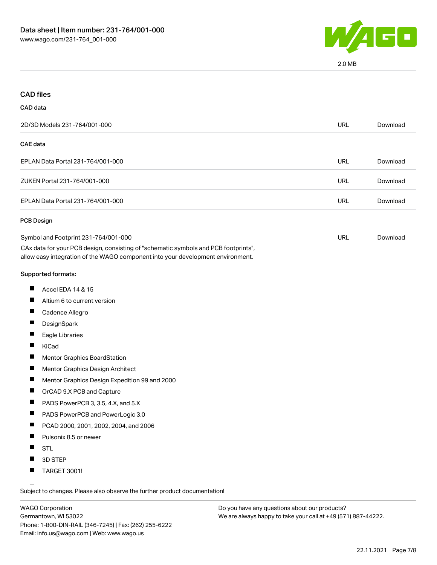

2.0 MB

| <b>CAD files</b>                                                                                                                                                                                               |            |          |
|----------------------------------------------------------------------------------------------------------------------------------------------------------------------------------------------------------------|------------|----------|
| CAD data                                                                                                                                                                                                       |            |          |
| 2D/3D Models 231-764/001-000                                                                                                                                                                                   | <b>URL</b> | Download |
| <b>CAE</b> data                                                                                                                                                                                                |            |          |
| EPLAN Data Portal 231-764/001-000                                                                                                                                                                              | URL        | Download |
| ZUKEN Portal 231-764/001-000                                                                                                                                                                                   | <b>URL</b> | Download |
| EPLAN Data Portal 231-764/001-000                                                                                                                                                                              | <b>URL</b> | Download |
| PCB Design                                                                                                                                                                                                     |            |          |
| Symbol and Footprint 231-764/001-000<br>CAx data for your PCB design, consisting of "schematic symbols and PCB footprints",<br>allow easy integration of the WAGO component into your development environment. | URL        | Download |
| Supported formats:                                                                                                                                                                                             |            |          |
| ш<br>Accel EDA 14 & 15                                                                                                                                                                                         |            |          |
| Altium 6 to current version                                                                                                                                                                                    |            |          |
| $\blacksquare$<br>Cadence Allegro                                                                                                                                                                              |            |          |
| ш<br>DesignSpark                                                                                                                                                                                               |            |          |
| Eagle Libraries                                                                                                                                                                                                |            |          |
| KiCad                                                                                                                                                                                                          |            |          |
| ш<br>Mentor Graphics BoardStation                                                                                                                                                                              |            |          |
| п<br>Mentor Graphics Design Architect                                                                                                                                                                          |            |          |
| $\blacksquare$<br>Mentor Graphics Design Expedition 99 and 2000                                                                                                                                                |            |          |
| $\blacksquare$<br>OrCAD 9.X PCB and Capture                                                                                                                                                                    |            |          |
| ш<br>PADS PowerPCB 3, 3.5, 4.X, and 5.X                                                                                                                                                                        |            |          |
| PADS PowerPCB and PowerLogic 3.0<br>ш                                                                                                                                                                          |            |          |
| PCAD 2000, 2001, 2002, 2004, and 2006                                                                                                                                                                          |            |          |
| П<br>Pulsonix 8.5 or newer                                                                                                                                                                                     |            |          |
| ш<br><b>STL</b>                                                                                                                                                                                                |            |          |
| 3D STEP                                                                                                                                                                                                        |            |          |
| ц<br><b>TARGET 3001!</b>                                                                                                                                                                                       |            |          |

Subject to changes. Please also observe the further product documentation!

WAGO Corporation Germantown, WI 53022 Phone: 1-800-DIN-RAIL (346-7245) | Fax: (262) 255-6222 Email: info.us@wago.com | Web: www.wago.us